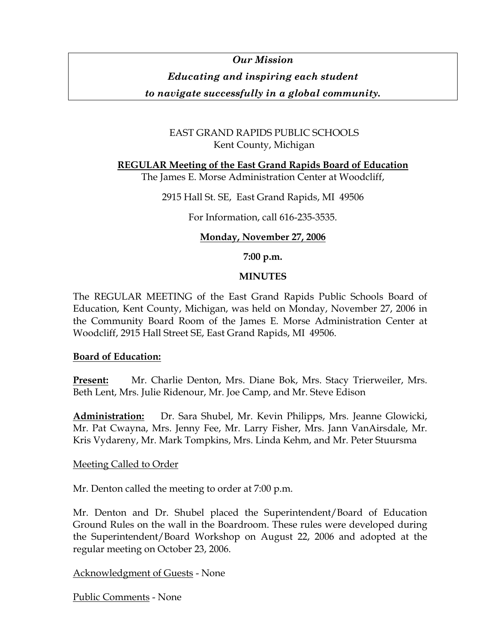# *Our Mission Educating and inspiring each student*

*to navigate successfully in a global community.* 

# EAST GRAND RAPIDS PUBLIC SCHOOLS Kent County, Michigan

**REGULAR Meeting of the East Grand Rapids Board of Education**

The James E. Morse Administration Center at Woodcliff,

2915 Hall St. SE, East Grand Rapids, MI 49506

For Information, call 616-235-3535.

# **Monday, November 27, 2006**

**7:00 p.m.** 

# **MINUTES**

The REGULAR MEETING of the East Grand Rapids Public Schools Board of Education, Kent County, Michigan, was held on Monday, November 27, 2006 in the Community Board Room of the James E. Morse Administration Center at Woodcliff, 2915 Hall Street SE, East Grand Rapids, MI 49506.

## **Board of Education:**

**Present:** Mr. Charlie Denton, Mrs. Diane Bok, Mrs. Stacy Trierweiler, Mrs. Beth Lent, Mrs. Julie Ridenour, Mr. Joe Camp, and Mr. Steve Edison

**Administration:** Dr. Sara Shubel, Mr. Kevin Philipps, Mrs. Jeanne Glowicki, Mr. Pat Cwayna, Mrs. Jenny Fee, Mr. Larry Fisher, Mrs. Jann VanAirsdale, Mr. Kris Vydareny, Mr. Mark Tompkins, Mrs. Linda Kehm, and Mr. Peter Stuursma

# Meeting Called to Order

Mr. Denton called the meeting to order at 7:00 p.m.

Mr. Denton and Dr. Shubel placed the Superintendent/Board of Education Ground Rules on the wall in the Boardroom. These rules were developed during the Superintendent/Board Workshop on August 22, 2006 and adopted at the regular meeting on October 23, 2006.

Acknowledgment of Guests - None

Public Comments - None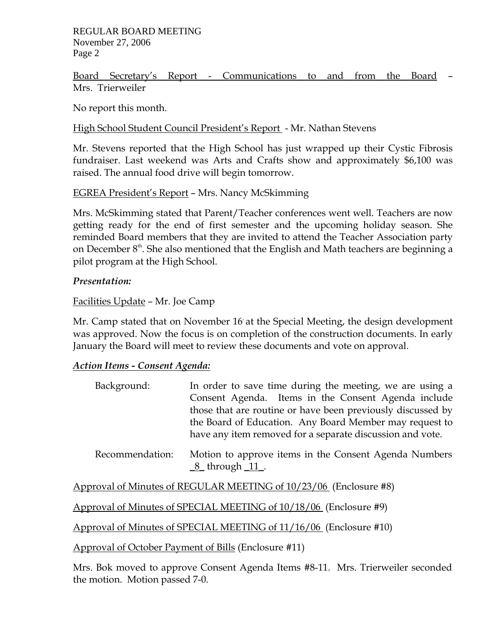#### REGULAR BOARD MEETING November 27, 2006 Page 2

Board Secretary's Report - Communications to and from the Board – Mrs. Trierweiler

No report this month.

## High School Student Council President's Report - Mr. Nathan Stevens

Mr. Stevens reported that the High School has just wrapped up their Cystic Fibrosis fundraiser. Last weekend was Arts and Crafts show and approximately \$6,100 was raised. The annual food drive will begin tomorrow.

# EGREA President's Report – Mrs. Nancy McSkimming

Mrs. McSkimming stated that Parent/Teacher conferences went well. Teachers are now getting ready for the end of first semester and the upcoming holiday season. She reminded Board members that they are invited to attend the Teacher Association party on December  $8<sup>th</sup>$ . She also mentioned that the English and Math teachers are beginning a pilot program at the High School.

# *Presentation:*

# Facilities Update – Mr. Joe Camp

Mr. Camp stated that on November 16 at the Special Meeting, the design development was approved. Now the focus is on completion of the construction documents. In early January the Board will meet to review these documents and vote on approval.

## *Action Items - Consent Agenda:*

| Background:     | In order to save time during the meeting, we are using a<br>Consent Agenda. Items in the Consent Agenda include<br>those that are routine or have been previously discussed by<br>the Board of Education. Any Board Member may request to<br>have any item removed for a separate discussion and vote. |
|-----------------|--------------------------------------------------------------------------------------------------------------------------------------------------------------------------------------------------------------------------------------------------------------------------------------------------------|
| Recommendation: | Motion to approve items in the Consent Agenda Numbers<br>$8$ _through $11$ _.                                                                                                                                                                                                                          |

Approval of Minutes of REGULAR MEETING of 10/23/06 (Enclosure #8)

Approval of Minutes of SPECIAL MEETING of 10/18/06 (Enclosure #9)

Approval of Minutes of SPECIAL MEETING of 11/16/06 (Enclosure #10)

Approval of October Payment of Bills (Enclosure #11)

Mrs. Bok moved to approve Consent Agenda Items #8-11. Mrs. Trierweiler seconded the motion. Motion passed 7-0.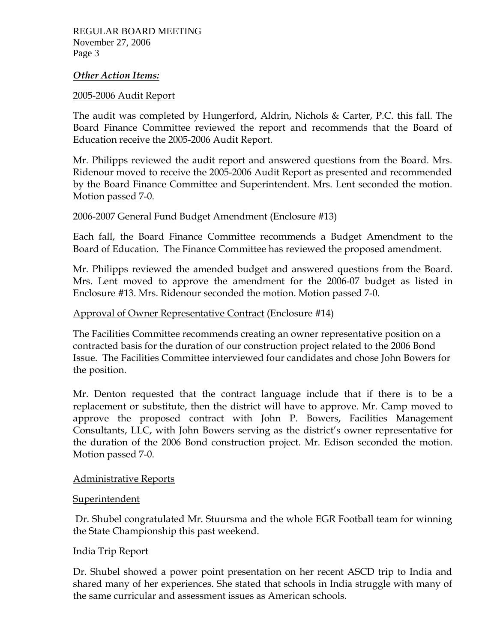#### *Other Action Items:*

#### 2005-2006 Audit Report

The audit was completed by Hungerford, Aldrin, Nichols & Carter, P.C. this fall. The Board Finance Committee reviewed the report and recommends that the Board of Education receive the 2005-2006 Audit Report.

Mr. Philipps reviewed the audit report and answered questions from the Board. Mrs. Ridenour moved to receive the 2005-2006 Audit Report as presented and recommended by the Board Finance Committee and Superintendent. Mrs. Lent seconded the motion. Motion passed 7-0.

## 2006-2007 General Fund Budget Amendment (Enclosure #13)

Each fall, the Board Finance Committee recommends a Budget Amendment to the Board of Education. The Finance Committee has reviewed the proposed amendment.

Mr. Philipps reviewed the amended budget and answered questions from the Board. Mrs. Lent moved to approve the amendment for the 2006-07 budget as listed in Enclosure #13. Mrs. Ridenour seconded the motion. Motion passed 7-0.

#### Approval of Owner Representative Contract (Enclosure #14)

The Facilities Committee recommends creating an owner representative position on a contracted basis for the duration of our construction project related to the 2006 Bond Issue. The Facilities Committee interviewed four candidates and chose John Bowers for the position.

Mr. Denton requested that the contract language include that if there is to be a replacement or substitute, then the district will have to approve. Mr. Camp moved to approve the proposed contract with John P. Bowers, Facilities Management Consultants, LLC, with John Bowers serving as the district's owner representative for the duration of the 2006 Bond construction project. Mr. Edison seconded the motion. Motion passed 7-0.

## Administrative Reports

#### Superintendent

 Dr. Shubel congratulated Mr. Stuursma and the whole EGR Football team for winning the State Championship this past weekend.

## India Trip Report

Dr. Shubel showed a power point presentation on her recent ASCD trip to India and shared many of her experiences. She stated that schools in India struggle with many of the same curricular and assessment issues as American schools.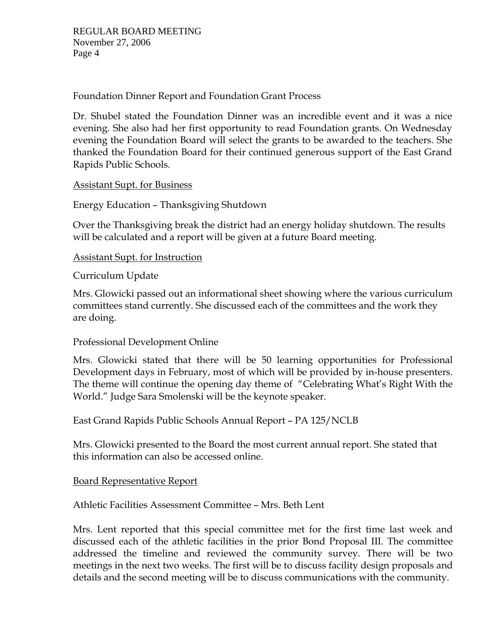Foundation Dinner Report and Foundation Grant Process

Dr. Shubel stated the Foundation Dinner was an incredible event and it was a nice evening. She also had her first opportunity to read Foundation grants. On Wednesday evening the Foundation Board will select the grants to be awarded to the teachers. She thanked the Foundation Board for their continued generous support of the East Grand Rapids Public Schools.

Assistant Supt. for Business

Energy Education – Thanksgiving Shutdown

Over the Thanksgiving break the district had an energy holiday shutdown. The results will be calculated and a report will be given at a future Board meeting.

Assistant Supt. for Instruction

Curriculum Update

Mrs. Glowicki passed out an informational sheet showing where the various curriculum committees stand currently. She discussed each of the committees and the work they are doing.

Professional Development Online

Mrs. Glowicki stated that there will be 50 learning opportunities for Professional Development days in February, most of which will be provided by in-house presenters. The theme will continue the opening day theme of "Celebrating What's Right With the World." Judge Sara Smolenski will be the keynote speaker.

East Grand Rapids Public Schools Annual Report – PA 125/NCLB

Mrs. Glowicki presented to the Board the most current annual report. She stated that this information can also be accessed online.

Board Representative Report

Athletic Facilities Assessment Committee – Mrs. Beth Lent

Mrs. Lent reported that this special committee met for the first time last week and discussed each of the athletic facilities in the prior Bond Proposal III. The committee addressed the timeline and reviewed the community survey. There will be two meetings in the next two weeks. The first will be to discuss facility design proposals and details and the second meeting will be to discuss communications with the community.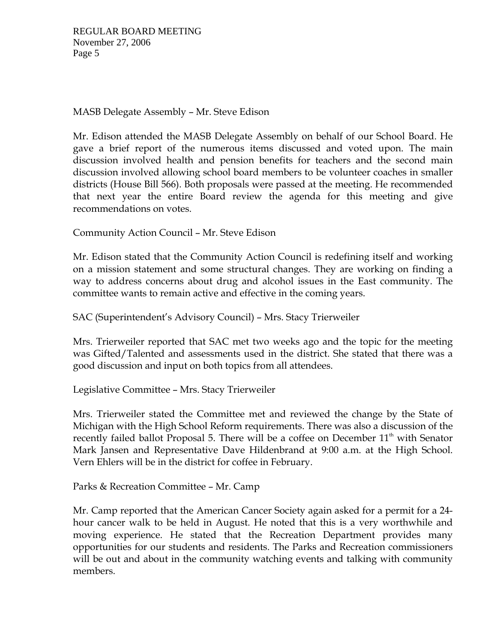# MASB Delegate Assembly – Mr. Steve Edison

Mr. Edison attended the MASB Delegate Assembly on behalf of our School Board. He gave a brief report of the numerous items discussed and voted upon. The main discussion involved health and pension benefits for teachers and the second main discussion involved allowing school board members to be volunteer coaches in smaller districts (House Bill 566). Both proposals were passed at the meeting. He recommended that next year the entire Board review the agenda for this meeting and give recommendations on votes.

Community Action Council – Mr. Steve Edison

Mr. Edison stated that the Community Action Council is redefining itself and working on a mission statement and some structural changes. They are working on finding a way to address concerns about drug and alcohol issues in the East community. The committee wants to remain active and effective in the coming years.

SAC (Superintendent's Advisory Council) – Mrs. Stacy Trierweiler

Mrs. Trierweiler reported that SAC met two weeks ago and the topic for the meeting was Gifted/Talented and assessments used in the district. She stated that there was a good discussion and input on both topics from all attendees.

Legislative Committee – Mrs. Stacy Trierweiler

Mrs. Trierweiler stated the Committee met and reviewed the change by the State of Michigan with the High School Reform requirements. There was also a discussion of the recently failed ballot Proposal 5. There will be a coffee on December  $11<sup>th</sup>$  with Senator Mark Jansen and Representative Dave Hildenbrand at 9:00 a.m. at the High School. Vern Ehlers will be in the district for coffee in February.

Parks & Recreation Committee – Mr. Camp

Mr. Camp reported that the American Cancer Society again asked for a permit for a 24 hour cancer walk to be held in August. He noted that this is a very worthwhile and moving experience. He stated that the Recreation Department provides many opportunities for our students and residents. The Parks and Recreation commissioners will be out and about in the community watching events and talking with community members.